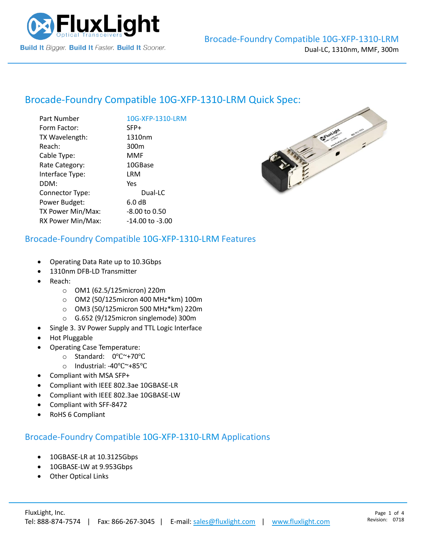

# Brocade-Foundry Compatible [10G-XFP-1310-LRM](https://www.fluxlight.com/) Quick Spec:

| Part Number       | 10G-XFP-1310-LRM    |
|-------------------|---------------------|
| Form Factor:      | SFP+                |
| TX Wavelength:    | 1310nm              |
| Reach:            | 300 <sub>m</sub>    |
| Cable Type:       | MMF                 |
| Rate Category:    | 10GBase             |
| Interface Type:   | LRM                 |
| DDM:              | Yes                 |
| Connector Type:   | Dual-LC             |
| Power Budget:     | 6.0 dB              |
| TX Power Min/Max: | -8.00 to 0.50       |
| RX Power Min/Max: | $-14.00$ to $-3.00$ |
|                   |                     |

#### Brocade-Foundry Compatible [10G-XFP-1310-LRM](https://www.fluxlight.com/) Features

- Operating Data Rate up to 10.3Gbps
- 1310nm DFB-LD Transmitter
- Reach:
	- o OM1 (62.5/125micron) 220m
	- o OM2 (50/125micron 400 MHz\*km) 100m
	- o OM3 (50/125micron 500 MHz\*km) 220m
	- o G.652 (9/125micron singlemode) 300m
- Single 3. 3V Power Supply and TTL Logic Interface
- Hot Pluggable
- Operating Case Temperature:
	- o Standard: 0℃~+70℃
	- o Industrial: -40℃~+85℃
- Compliant with MSA SFP+
- Compliant with IEEE 802.3ae 10GBASE-LR
- Compliant with IEEE 802.3ae 10GBASE-LW
- Compliant with SFF-8472
- RoHS 6 Compliant

#### Brocade-Foundry Compatible [10G-XFP-1310-LRM](https://www.fluxlight.com/) Applications

- 10GBASE-LR at 10.3125Gbps
- 10GBASE-LW at 9.953Gbps
- **Other Optical Links**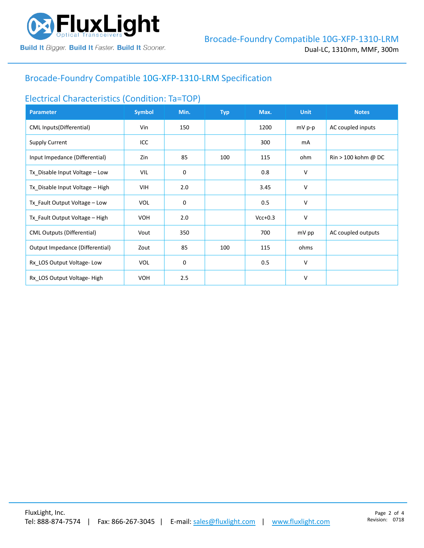

# Brocade-Foundry Compatible [10G-XFP-1310-LRM](https://www.fluxlight.com/) Specification

### Electrical Characteristics (Condition: Ta=TOP)

| <b>Parameter</b>                  | <b>Symbol</b> | Min.        | <b>Typ</b> | Max.      | <b>Unit</b> | <b>Notes</b>                          |
|-----------------------------------|---------------|-------------|------------|-----------|-------------|---------------------------------------|
| <b>CML Inputs(Differential)</b>   | Vin           | 150         |            | 1200      | $mV$ p-p    | AC coupled inputs                     |
| <b>Supply Current</b>             | ICC           |             |            | 300       | mA          |                                       |
| Input Impedance (Differential)    | Zin           | 85          | 100        | 115       | ohm         | $\text{Rin} > 100 \text{ kohm } @$ DC |
| Tx_Disable Input Voltage - Low    | VIL           | $\mathbf 0$ |            | 0.8       | v           |                                       |
| Tx_Disable Input Voltage - High   | <b>VIH</b>    | 2.0         |            | 3.45      | v           |                                       |
| Tx_Fault Output Voltage - Low     | <b>VOL</b>    | 0           |            | 0.5       | v           |                                       |
| Tx_Fault Output Voltage - High    | <b>VOH</b>    | 2.0         |            | $Vcc+0.3$ | v           |                                       |
| <b>CML Outputs (Differential)</b> | Vout          | 350         |            | 700       | mV pp       | AC coupled outputs                    |
| Output Impedance (Differential)   | Zout          | 85          | 100        | 115       | ohms        |                                       |
| Rx_LOS Output Voltage-Low         | <b>VOL</b>    | 0           |            | 0.5       | $\vee$      |                                       |
| Rx LOS Output Voltage-High        | <b>VOH</b>    | 2.5         |            |           | v           |                                       |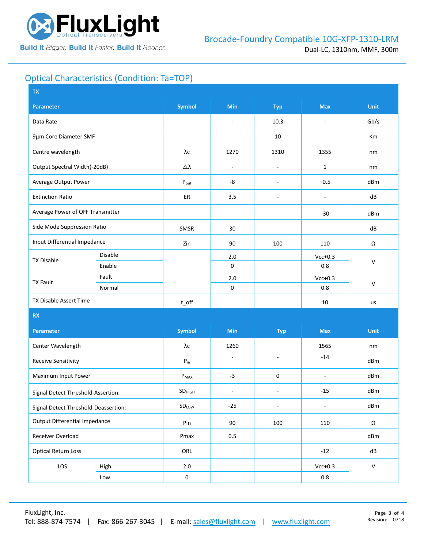

# Optical Characteristics (Condition: Ta=TOP)

| <b>TX</b>                            |                |                               |                          |                          |                          |              |  |
|--------------------------------------|----------------|-------------------------------|--------------------------|--------------------------|--------------------------|--------------|--|
| <b>Parameter</b>                     |                | <b>Symbol</b>                 | <b>Min</b>               | <b>Typ</b>               | <b>Max</b>               | <b>Unit</b>  |  |
| Data Rate                            |                |                               | $\overline{\phantom{a}}$ | 10.3                     | $\overline{\phantom{a}}$ | Gb/s         |  |
| 9µm Core Diameter SMF                |                |                               |                          | 10                       |                          | Km           |  |
| Centre wavelength                    |                | λс                            | 1270                     | 1310                     | 1355                     | nm           |  |
| Output Spectral Width(-20dB)         |                | Δλ                            | $\overline{\phantom{a}}$ | $\overline{\phantom{a}}$ | $\mathbf{1}$             | nm           |  |
| Average Output Power                 |                | $P_{\text{out}}$              | -8                       | $\overline{\phantom{a}}$ | $+0.5$                   | dBm          |  |
| <b>Extinction Ratio</b>              |                | ER                            | 3.5                      | $\overline{\phantom{a}}$ | $\overline{\phantom{a}}$ | dB           |  |
| Average Power of OFF Transmitter     |                |                               |                          |                          | $-30$                    | dBm          |  |
| Side Mode Suppression Ratio          |                | SMSR                          | 30                       |                          |                          | dB           |  |
| Input Differential Impedance         |                | Zin                           | 90                       | 100                      | 110                      | Ω            |  |
| <b>TX Disable</b>                    | <b>Disable</b> |                               | 2.0                      |                          | $Vcc+0.3$                | $\mathsf{V}$ |  |
|                                      | Enable         |                               | $\mathsf 0$              |                          | 0.8                      |              |  |
| <b>TX Fault</b>                      | Fault          |                               | 2.0                      |                          | $Vcc+0.3$                | $\mathsf{V}$ |  |
|                                      | Normal         |                               | $\mathsf 0$              |                          | 0.8                      |              |  |
| TX Disable Assert Time               |                | $t$ _off                      |                          |                          | 10                       | us           |  |
| <b>RX</b>                            |                |                               |                          |                          |                          |              |  |
| <b>Parameter</b>                     |                | <b>Symbol</b>                 | Min                      | <b>Typ</b>               | <b>Max</b>               | <b>Unit</b>  |  |
| Center Wavelength                    |                | λс                            | 1260                     |                          | 1565                     | nm           |  |
| <b>Receive Sensitivity</b>           |                | $P_{in}$                      | $\overline{\phantom{a}}$ | $\blacksquare$           | $-14$                    | dBm          |  |
| Maximum Input Power                  |                | $P_{MAX}$                     | $-3$                     | 0                        | ÷,                       | dBm          |  |
| Signal Detect Threshold-Assertion:   |                | $\mathsf{SD}_{\mathsf{HIGH}}$ | $\blacksquare$           | $\overline{\phantom{a}}$ | $-15$                    | dBm          |  |
| Signal Detect Threshold-Deassertion: |                | SDLow                         | $-25$                    | $\overline{\phantom{a}}$ |                          | dBm          |  |
| <b>Output Differential Impedance</b> |                | Pin                           | 90                       | 100                      | 110                      | Ω            |  |
| Receiver Overload                    |                | Pmax                          | 0.5                      |                          |                          | dBm          |  |
| <b>Optical Return Loss</b>           |                | ORL                           |                          |                          | $-12$                    | dB           |  |
| LOS                                  | High           | $2.0\,$                       |                          |                          | $Vcc+0.3$                | ${\sf V}$    |  |
|                                      | Low            | $\pmb{0}$                     |                          |                          | $0.8\,$                  |              |  |